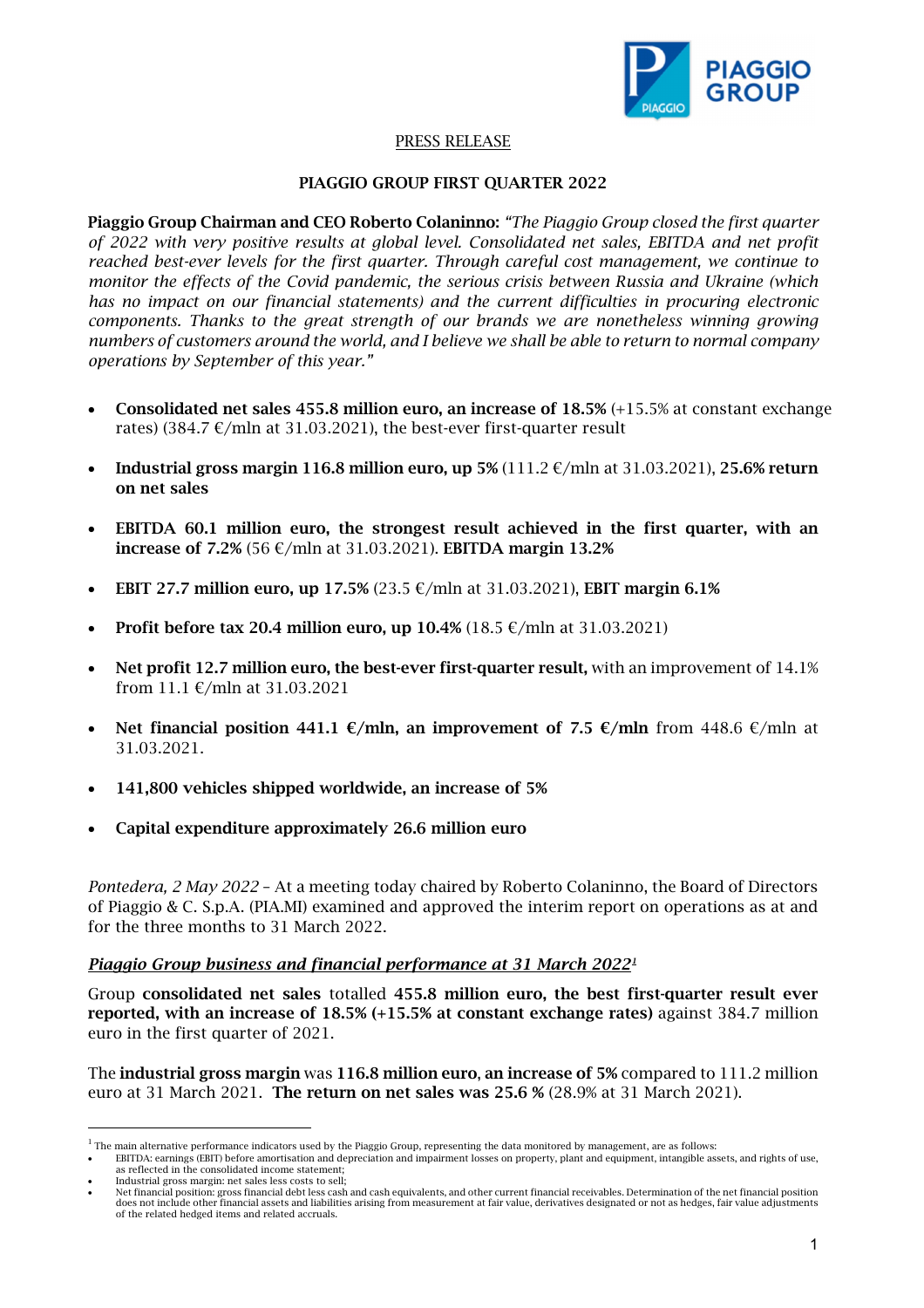

### PRESS RELEASE

#### PIAGGIO GROUP FIRST QUARTER 2022

Piaggio Group Chairman and CEO Roberto Colaninno: *"The Piaggio Group closed the first quarter of 2022 with very positive results at global level. Consolidated net sales, EBITDA and net profit reached best-ever levels for the first quarter. Through careful cost management, we continue to monitor the effects of the Covid pandemic, the serious crisis between Russia and Ukraine (which*  has no impact on our financial statements) and the current difficulties in procuring electronic *components. Thanks to the great strength of our brands we are nonetheless winning growing numbers of customers around the world, and I believe we shall be able to return to normal company operations by September of this year."*

- Consolidated net sales 455.8 million euro, an increase of 18.5% (+15.5% at constant exchange rates) (384.7  $\epsilon$ /mln at 31.03.2021), the best-ever first-quarter result
- Industrial gross margin 116.8 million euro, up 5% (111.2  $\epsilon$ /mln at 31.03.2021), 25.6% return on net sales
- EBITDA 60.1 million euro, the strongest result achieved in the first quarter, with an increase of 7.2% (56 €/mln at 31.03.2021). EBITDA margin 13.2%
- EBIT 27.7 million euro, up 17.5% (23.5  $\epsilon$ /mln at 31.03.2021), EBIT margin 6.1%
- **Profit before tax 20.4 million euro, up 10.4%** (18.5  $\epsilon$ /mln at 31.03.2021)
- Net profit 12.7 million euro, the best-ever first-quarter result, with an improvement of 14.1% from 11.1 €/mln at 31.03.2021
- Net financial position 441.1 €/mln, an improvement of 7.5 €/mln from 448.6 €/mln at 31.03.2021.
- 141,800 vehicles shipped worldwide, an increase of 5%
- Capital expenditure approximately 26.6 million euro

*Pontedera, 2 May 2022* – At a meeting today chaired by Roberto Colaninno, the Board of Directors of Piaggio & C. S.p.A. (PIA.MI) examined and approved the interim report on operations as at and for the three months to 31 March 2022.

#### *Piaggio Group business and financial performance at 31 March 2022[1](#page-0-0)*

Group consolidated net sales totalled 455.8 million euro, the best first-quarter result ever reported, with an increase of 18.5% (+15.5% at constant exchange rates) against 384.7 million euro in the first quarter of 2021.

The industrial gross margin was 116.8 million euro, an increase of 5% compared to 111.2 million euro at 31 March 2021. The return on net sales was 25.6 % (28.9% at 31 March 2021).

• EBITDA: earnings (EBIT) before amortisation and depreciation and impairment losses on property, plant and equipment, intangible assets, and rights of use, as reflected in the consolidated income statement;

<span id="page-0-0"></span> $<sup>1</sup>$  The main alternative performance indicators used by the Piaggio Group, representing the data monitored by management, are as follows:</sup>

Industrial gross margin: net sales less costs to sell;

Net financial position: gross financial debt less cash and cash equivalents, and other current financial receivables. Determination of the net financial position وdoes not include other financial assets and liabilities ari of the related hedged items and related accruals.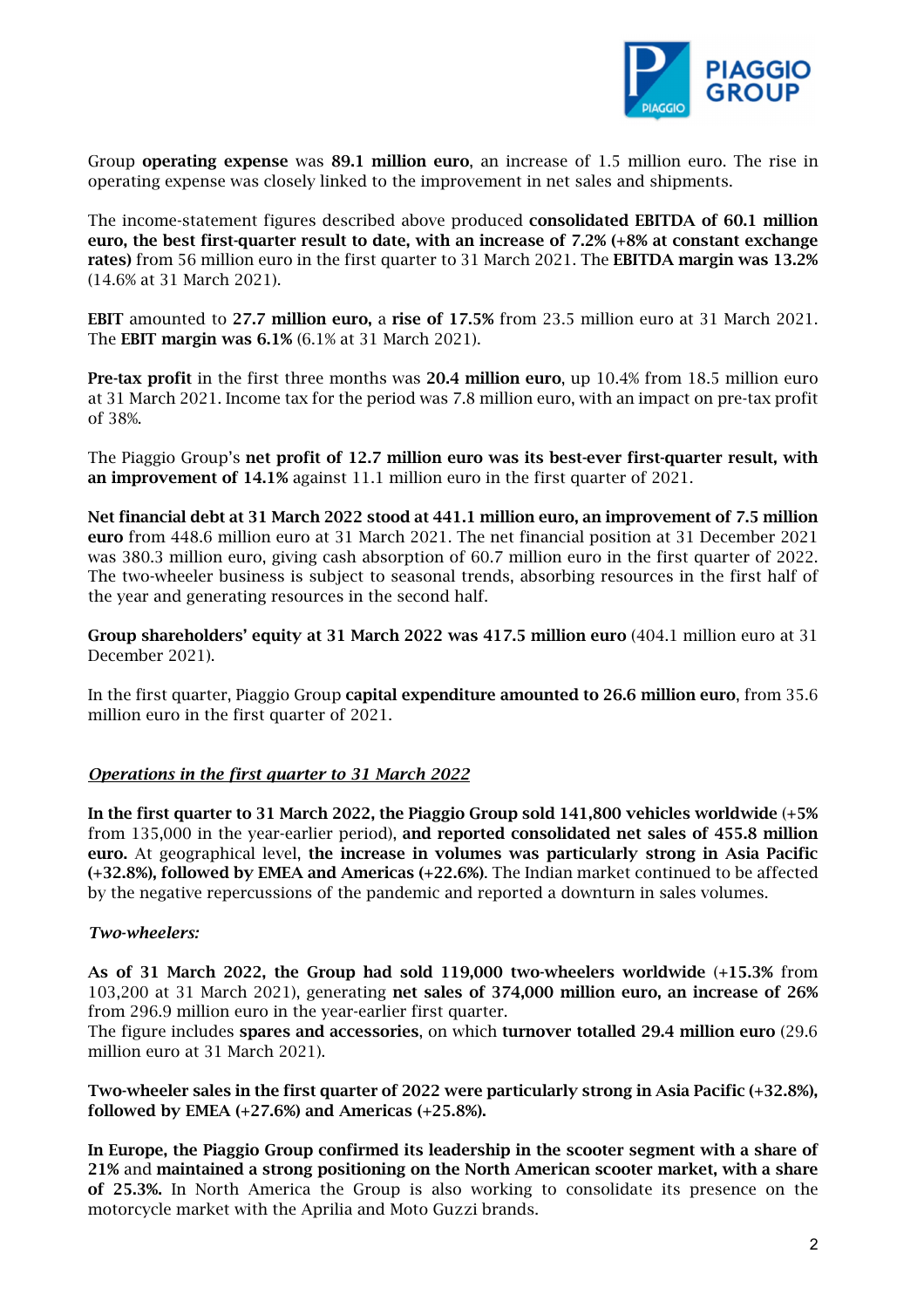

Group operating expense was 89.1 million euro, an increase of 1.5 million euro. The rise in operating expense was closely linked to the improvement in net sales and shipments.

The income-statement figures described above produced consolidated EBITDA of 60.1 million euro, the best first-quarter result to date, with an increase of 7.2% (+8% at constant exchange rates) from 56 million euro in the first quarter to 31 March 2021. The EBITDA margin was 13.2% (14.6% at 31 March 2021).

EBIT amounted to 27.7 million euro, a rise of 17.5% from 23.5 million euro at 31 March 2021. The EBIT margin was 6.1% (6.1% at 31 March 2021).

Pre-tax profit in the first three months was 20.4 million euro, up 10.4% from 18.5 million euro at 31 March 2021. Income tax for the period was 7.8 million euro, with an impact on pre-tax profit of 38%.

The Piaggio Group's net profit of 12.7 million euro was its best-ever first-quarter result, with an improvement of 14.1% against 11.1 million euro in the first quarter of 2021.

Net financial debt at 31 March 2022 stood at 441.1 million euro, an improvement of 7.5 million euro from 448.6 million euro at 31 March 2021. The net financial position at 31 December 2021 was 380.3 million euro, giving cash absorption of 60.7 million euro in the first quarter of 2022. The two-wheeler business is subject to seasonal trends, absorbing resources in the first half of the year and generating resources in the second half.

Group shareholders' equity at 31 March 2022 was 417.5 million euro (404.1 million euro at 31 December 2021).

In the first quarter, Piaggio Group capital expenditure amounted to 26.6 million euro, from 35.6 million euro in the first quarter of 2021.

#### *Operations in the first quarter to 31 March 2022*

In the first quarter to 31 March 2022, the Piaggio Group sold 141,800 vehicles worldwide (+5% from 135,000 in the year-earlier period), and reported consolidated net sales of 455.8 million euro. At geographical level, the increase in volumes was particularly strong in Asia Pacific (+32.8%), followed by EMEA and Americas (+22.6%). The Indian market continued to be affected by the negative repercussions of the pandemic and reported a downturn in sales volumes.

#### *Two-wheelers:*

As of 31 March 2022, the Group had sold 119,000 two-wheelers worldwide (+15.3% from 103,200 at 31 March 2021), generating net sales of 374,000 million euro, an increase of 26% from 296.9 million euro in the year-earlier first quarter.

The figure includes spares and accessories, on which turnover totalled 29.4 million euro (29.6 million euro at 31 March 2021).

Two-wheeler sales in the first quarter of 2022 were particularly strong in Asia Pacific (+32.8%), followed by EMEA (+27.6%) and Americas (+25.8%).

In Europe, the Piaggio Group confirmed its leadership in the scooter segment with a share of 21% and maintained a strong positioning on the North American scooter market, with a share of 25.3%. In North America the Group is also working to consolidate its presence on the motorcycle market with the Aprilia and Moto Guzzi brands.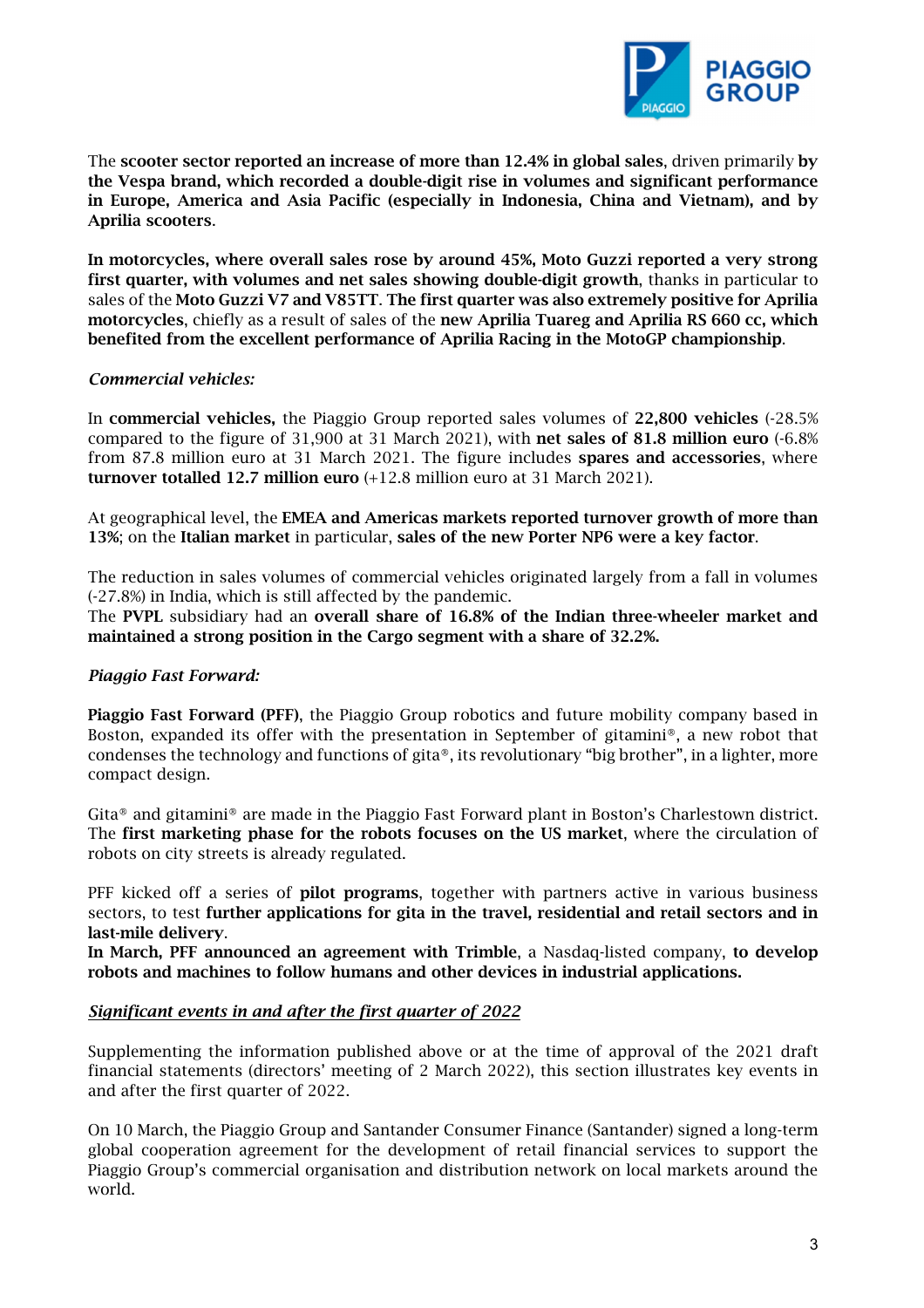

The scooter sector reported an increase of more than 12.4% in global sales, driven primarily by the Vespa brand, which recorded a double-digit rise in volumes and significant performance in Europe, America and Asia Pacific (especially in Indonesia, China and Vietnam), and by Aprilia scooters.

In motorcycles, where overall sales rose by around 45%, Moto Guzzi reported a very strong first quarter, with volumes and net sales showing double-digit growth, thanks in particular to sales of the Moto Guzzi V7 and V85TT. The first quarter was also extremely positive for Aprilia motorcycles, chiefly as a result of sales of the new Aprilia Tuareg and Aprilia RS 660 cc, which benefited from the excellent performance of Aprilia Racing in the MotoGP championship.

#### *Commercial vehicles:*

In commercial vehicles, the Piaggio Group reported sales volumes of 22,800 vehicles (-28.5% compared to the figure of 31,900 at 31 March 2021), with net sales of 81.8 million euro (-6.8% from 87.8 million euro at 31 March 2021. The figure includes spares and accessories, where turnover totalled 12.7 million euro (+12.8 million euro at 31 March 2021).

At geographical level, the EMEA and Americas markets reported turnover growth of more than 13%; on the Italian market in particular, sales of the new Porter NP6 were a key factor.

The reduction in sales volumes of commercial vehicles originated largely from a fall in volumes (-27.8%) in India, which is still affected by the pandemic.

The PVPL subsidiary had an overall share of 16.8% of the Indian three-wheeler market and maintained a strong position in the Cargo segment with a share of 32.2%.

### *Piaggio Fast Forward:*

Piaggio Fast Forward (PFF), the Piaggio Group robotics and future mobility company based in Boston, expanded its offer with the presentation in September of gitamini®, a new robot that condenses the technology and functions of gita®, its revolutionary "big brother", in a lighter, more compact design.

Gita® and gitamini® are made in the Piaggio Fast Forward plant in Boston's Charlestown district. The first marketing phase for the robots focuses on the US market, where the circulation of robots on city streets is already regulated.

PFF kicked off a series of **pilot programs**, together with partners active in various business sectors, to test further applications for gita in the travel, residential and retail sectors and in last-mile delivery.

In March, PFF announced an agreement with Trimble, a Nasdaq-listed company, to develop robots and machines to follow humans and other devices in industrial applications.

#### *Significant events in and after the first quarter of 2022*

Supplementing the information published above or at the time of approval of the 2021 draft financial statements (directors' meeting of 2 March 2022), this section illustrates key events in and after the first quarter of 2022.

On 10 March, the Piaggio Group and Santander Consumer Finance (Santander) signed a long-term global cooperation agreement for the development of retail financial services to support the Piaggio Group's commercial organisation and distribution network on local markets around the world.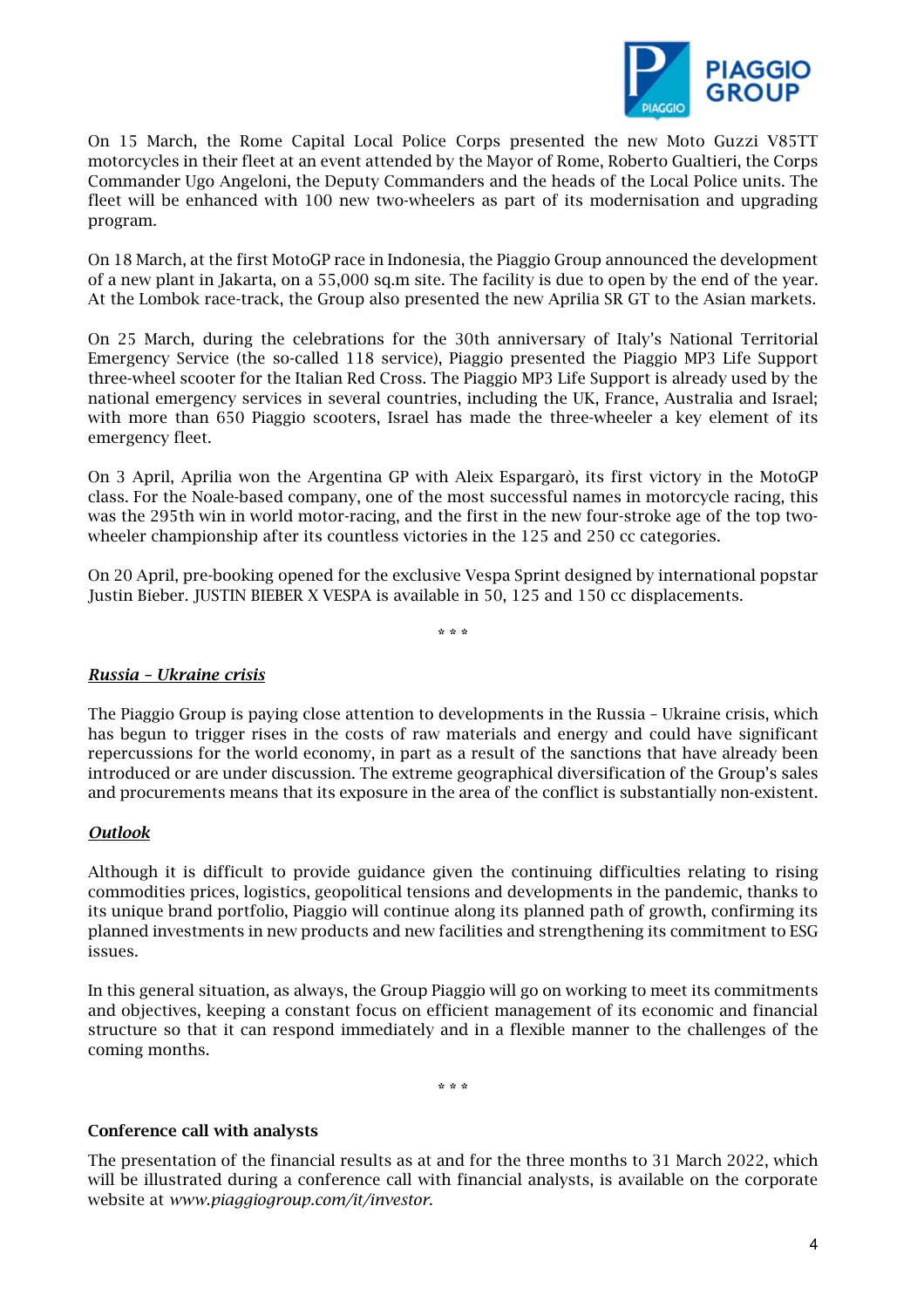

On 15 March, the Rome Capital Local Police Corps presented the new Moto Guzzi V85TT motorcycles in their fleet at an event attended by the Mayor of Rome, Roberto Gualtieri, the Corps Commander Ugo Angeloni, the Deputy Commanders and the heads of the Local Police units. The fleet will be enhanced with 100 new two-wheelers as part of its modernisation and upgrading program.

On 18 March, at the first MotoGP race in Indonesia, the Piaggio Group announced the development of a new plant in Jakarta, on a 55,000 sq.m site. The facility is due to open by the end of the year. At the Lombok race-track, the Group also presented the new Aprilia SR GT to the Asian markets.

On 25 March, during the celebrations for the 30th anniversary of Italy's National Territorial Emergency Service (the so-called 118 service), Piaggio presented the Piaggio MP3 Life Support three-wheel scooter for the Italian Red Cross. The Piaggio MP3 Life Support is already used by the national emergency services in several countries, including the UK, France, Australia and Israel; with more than 650 Piaggio scooters, Israel has made the three-wheeler a key element of its emergency fleet.

On 3 April, Aprilia won the Argentina GP with Aleix Espargarò, its first victory in the MotoGP class. For the Noale-based company, one of the most successful names in motorcycle racing, this was the 295th win in world motor-racing, and the first in the new four-stroke age of the top twowheeler championship after its countless victories in the 125 and 250 cc categories.

On 20 April, pre-booking opened for the exclusive Vespa Sprint designed by international popstar Justin Bieber. JUSTIN BIEBER X VESPA is available in 50, 125 and 150 cc displacements.

\* \* \*

#### *Russia – Ukraine crisis*

The Piaggio Group is paying close attention to developments in the Russia – Ukraine crisis, which has begun to trigger rises in the costs of raw materials and energy and could have significant repercussions for the world economy, in part as a result of the sanctions that have already been introduced or are under discussion. The extreme geographical diversification of the Group's sales and procurements means that its exposure in the area of the conflict is substantially non-existent.

#### *Outlook*

Although it is difficult to provide guidance given the continuing difficulties relating to rising commodities prices, logistics, geopolitical tensions and developments in the pandemic, thanks to its unique brand portfolio, Piaggio will continue along its planned path of growth, confirming its planned investments in new products and new facilities and strengthening its commitment to ESG issues.

In this general situation, as always, the Group Piaggio will go on working to meet its commitments and objectives, keeping a constant focus on efficient management of its economic and financial structure so that it can respond immediately and in a flexible manner to the challenges of the coming months.

\* \* \*

#### Conference call with analysts

The presentation of the financial results as at and for the three months to 31 March 2022, which will be illustrated during a conference call with financial analysts, is available on the corporate website at *www.piaggiogroup.com/it/investor*.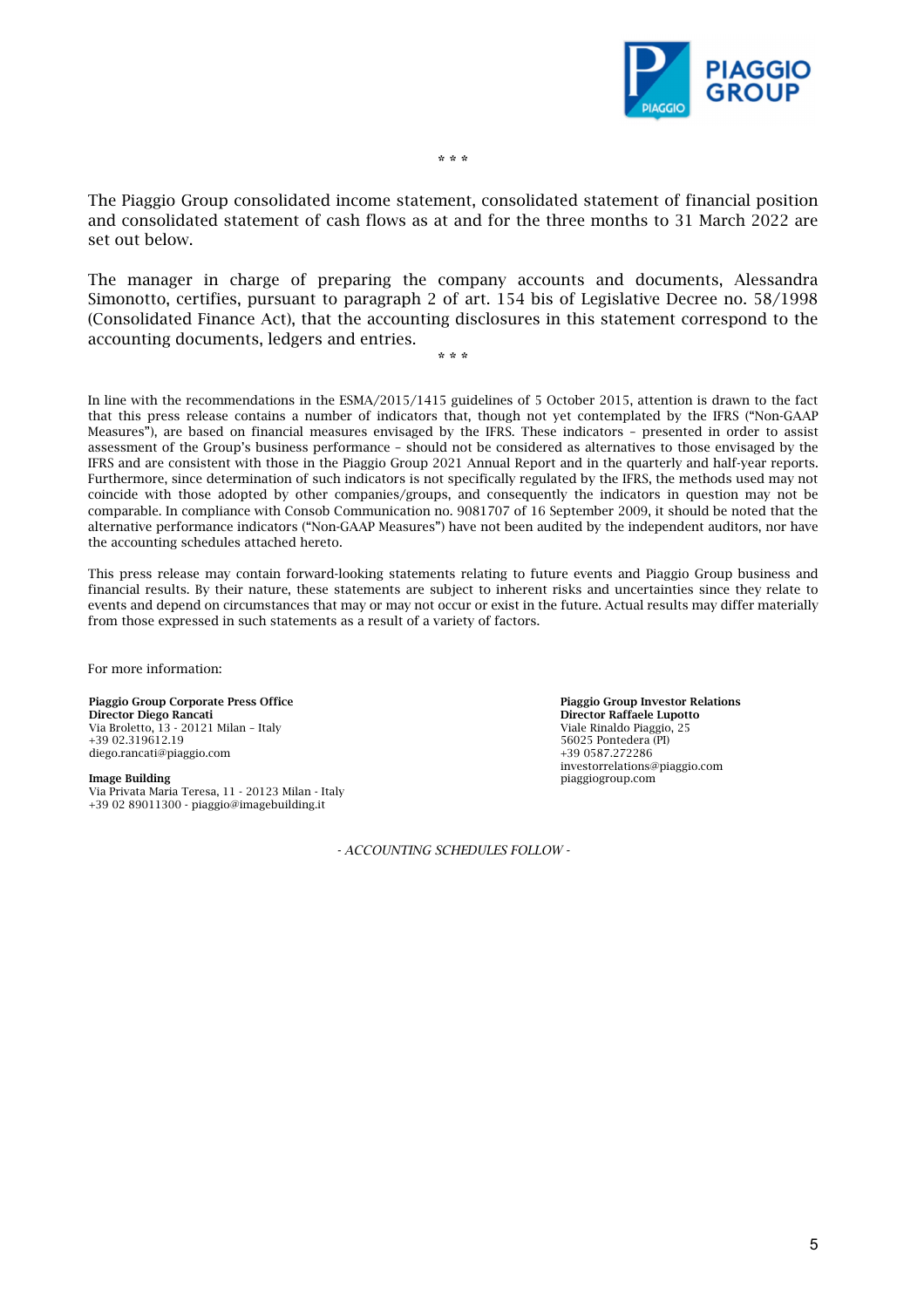

\* \* \*

The Piaggio Group consolidated income statement, consolidated statement of financial position and consolidated statement of cash flows as at and for the three months to 31 March 2022 are set out below.

The manager in charge of preparing the company accounts and documents, Alessandra Simonotto, certifies, pursuant to paragraph 2 of art. 154 bis of Legislative Decree no. 58/1998 (Consolidated Finance Act), that the accounting disclosures in this statement correspond to the accounting documents, ledgers and entries.

\* \* \*

In line with the recommendations in the ESMA/2015/1415 guidelines of 5 October 2015, attention is drawn to the fact that this press release contains a number of indicators that, though not yet contemplated by the IFRS ("Non-GAAP Measures"), are based on financial measures envisaged by the IFRS. These indicators – presented in order to assist assessment of the Group's business performance – should not be considered as alternatives to those envisaged by the IFRS and are consistent with those in the Piaggio Group 2021 Annual Report and in the quarterly and half-year reports. Furthermore, since determination of such indicators is not specifically regulated by the IFRS, the methods used may not coincide with those adopted by other companies/groups, and consequently the indicators in question may not be comparable. In compliance with Consob Communication no. 9081707 of 16 September 2009, it should be noted that the alternative performance indicators ("Non-GAAP Measures") have not been audited by the independent auditors, nor have the accounting schedules attached hereto.

This press release may contain forward-looking statements relating to future events and Piaggio Group business and financial results. By their nature, these statements are subject to inherent risks and uncertainties since they relate to events and depend on circumstances that may or may not occur or exist in the future. Actual results may differ materially from those expressed in such statements as a result of a variety of factors.

For more information:

Piaggio Group Corporate Press Office Director Diego Rancati Via Broletto, 13 - 20121 Milan – Italy +39 02.319612.19 diego.rancati@piaggio.com

#### Image Building

Via Privata Maria Teresa, 11 - 20123 Milan - Italy +39 02 89011300 - piaggio@imagebuilding.it

*- ACCOUNTING SCHEDULES FOLLOW -*

Piaggio Group Investor Relations Director Raffaele Lupotto Viale Rinaldo Piaggio, 25 56025 Pontedera (PI) +39 0587.272286 investorrelations@piaggio.com piaggiogroup.com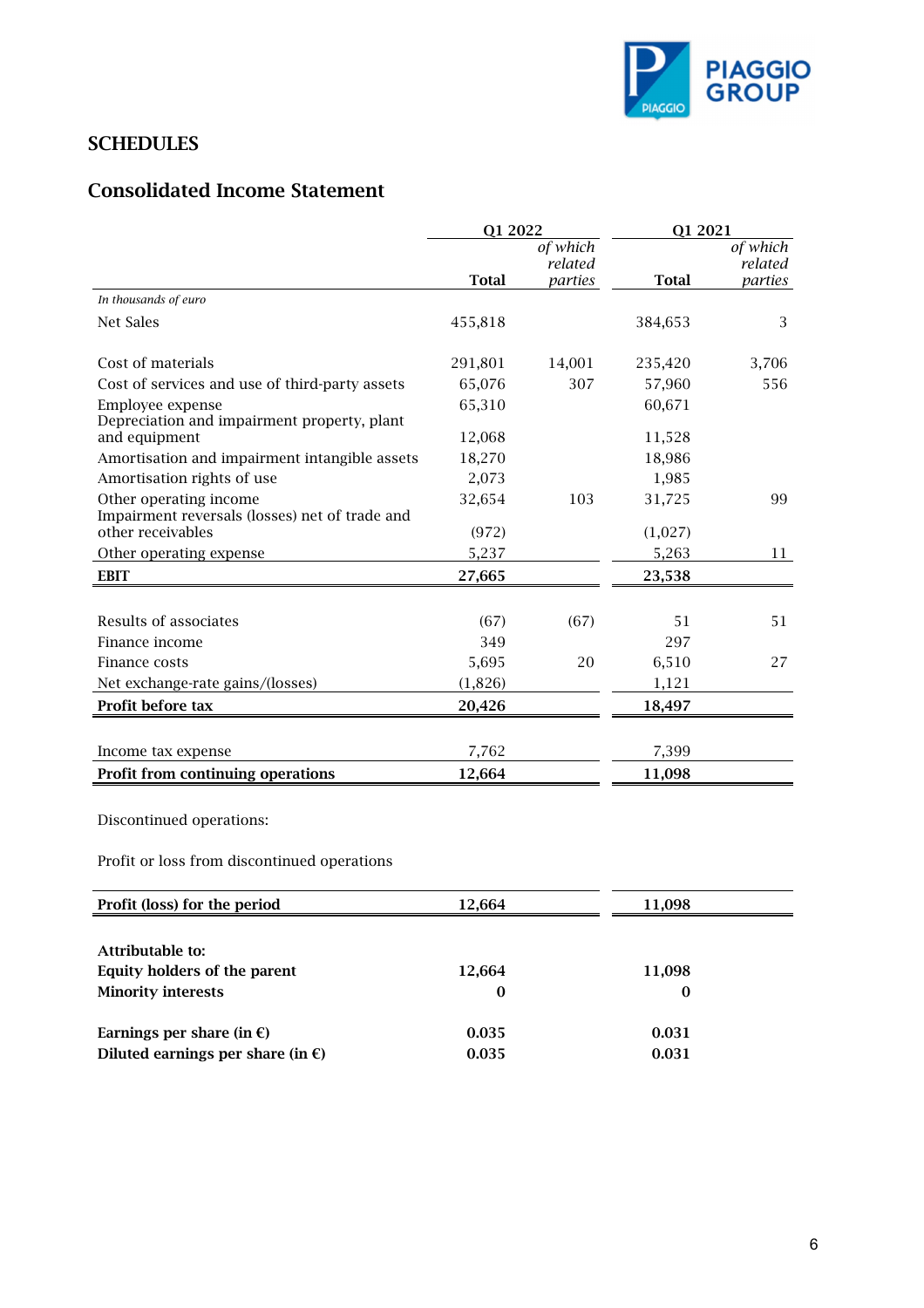

## **SCHEDULES**

## Consolidated Income Statement

|                                                | Q1 2022      |          | Q1 2021      |                    |
|------------------------------------------------|--------------|----------|--------------|--------------------|
|                                                |              | of which |              | of which           |
|                                                |              | related  |              | related<br>parties |
| In thousands of euro                           | <b>Total</b> | parties  | <b>Total</b> |                    |
| Net Sales                                      |              |          |              | 3                  |
|                                                | 455,818      |          | 384,653      |                    |
| Cost of materials                              | 291,801      | 14,001   | 235,420      | 3,706              |
| Cost of services and use of third-party assets | 65,076       | 307      | 57,960       | 556                |
| Employee expense                               | 65,310       |          | 60,671       |                    |
| Depreciation and impairment property, plant    |              |          |              |                    |
| and equipment                                  | 12,068       |          | 11,528       |                    |
| Amortisation and impairment intangible assets  | 18,270       |          | 18,986       |                    |
| Amortisation rights of use                     | 2,073        |          | 1,985        |                    |
| Other operating income                         | 32,654       | 103      | 31,725       | 99                 |
| Impairment reversals (losses) net of trade and |              |          |              |                    |
| other receivables                              | (972)        |          | (1,027)      |                    |
| Other operating expense                        | 5,237        |          | 5,263        | 11                 |
| <b>EBIT</b>                                    | 27,665       |          | 23,538       |                    |
|                                                |              |          |              |                    |
| Results of associates                          | (67)         | (67)     | 51           | 51                 |
| Finance income                                 | 349          |          | 297          |                    |
| Finance costs                                  | 5,695        | 20       | 6,510        | 27                 |
| Net exchange-rate gains/(losses)               | (1,826)      |          | 1,121        |                    |
| Profit before tax                              | 20,426       |          | 18,497       |                    |
|                                                |              |          |              |                    |
| Income tax expense                             | 7,762        |          | 7,399        |                    |
| Profit from continuing operations              | 12,664       |          | 11,098       |                    |

Discontinued operations:

Profit or loss from discontinued operations

| Profit (loss) for the period                | 12.664   | 11,098   |  |
|---------------------------------------------|----------|----------|--|
|                                             |          |          |  |
| Attributable to:                            |          |          |  |
| Equity holders of the parent                | 12,664   | 11,098   |  |
| <b>Minority interests</b>                   | $\bf{0}$ | $\bf{0}$ |  |
| Earnings per share (in $\epsilon$ )         | 0.035    | 0.031    |  |
| Diluted earnings per share (in $\epsilon$ ) | 0.035    | 0.031    |  |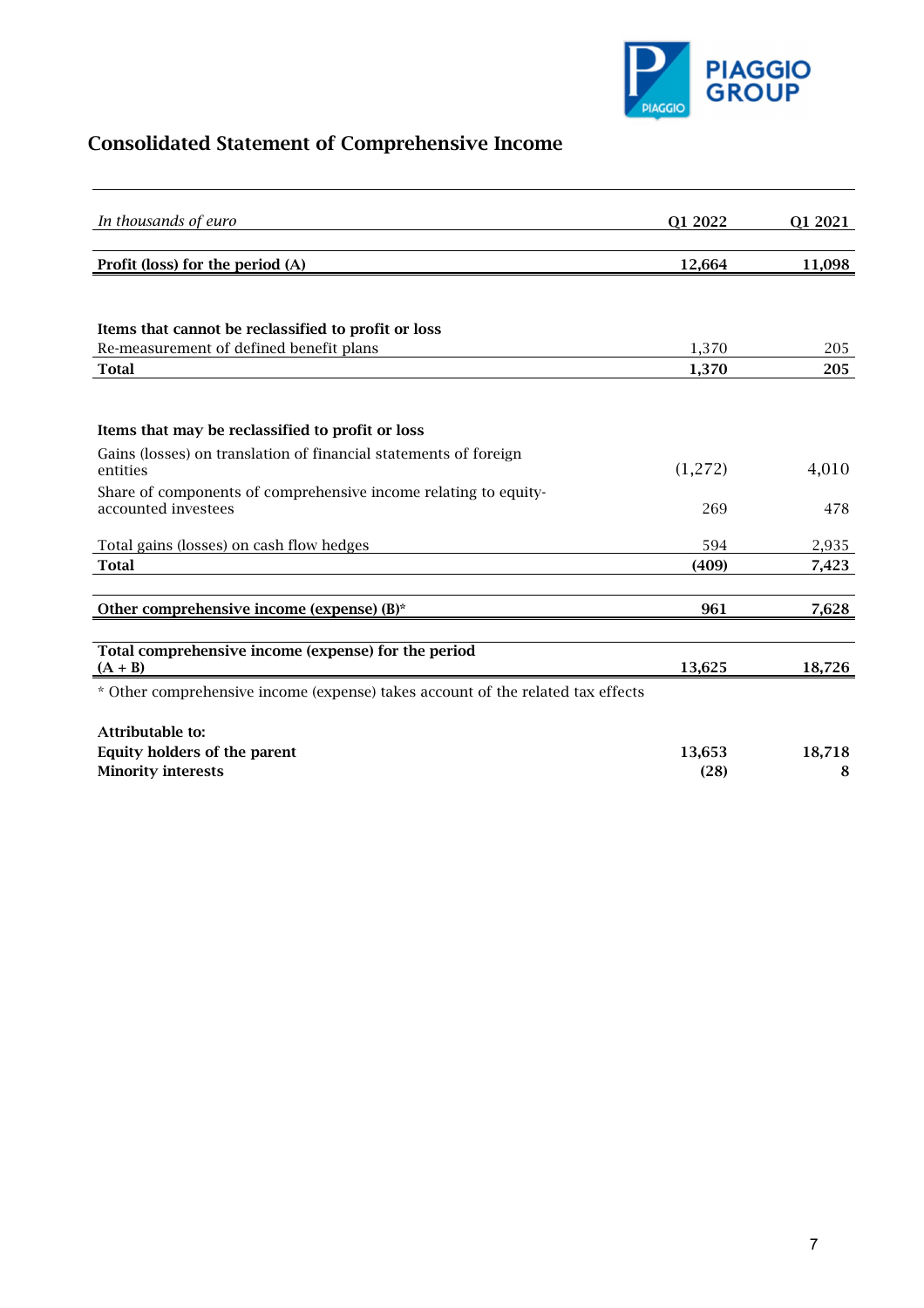

# Consolidated Statement of Comprehensive Income

| In thousands of euro                                                            | Q1 2022 | Q1 2021 |
|---------------------------------------------------------------------------------|---------|---------|
|                                                                                 |         |         |
| Profit (loss) for the period (A)                                                | 12,664  | 11,098  |
|                                                                                 |         |         |
|                                                                                 |         |         |
| Items that cannot be reclassified to profit or loss                             |         |         |
| Re-measurement of defined benefit plans                                         | 1,370   | 205     |
| <b>Total</b>                                                                    | 1,370   | 205     |
|                                                                                 |         |         |
|                                                                                 |         |         |
| Items that may be reclassified to profit or loss                                |         |         |
| Gains (losses) on translation of financial statements of foreign                |         |         |
| entities                                                                        | (1,272) | 4,010   |
| Share of components of comprehensive income relating to equity-                 |         |         |
| accounted investees                                                             | 269     | 478     |
| Total gains (losses) on cash flow hedges                                        | 594     | 2,935   |
| <b>Total</b>                                                                    | (409)   | 7,423   |
|                                                                                 |         |         |
| Other comprehensive income (expense) (B)*                                       | 961     | 7,628   |
|                                                                                 |         |         |
| Total comprehensive income (expense) for the period                             |         |         |
| $(A + B)$                                                                       | 13,625  | 18,726  |
| * Other comprehensive income (expense) takes account of the related tax effects |         |         |
|                                                                                 |         |         |
| Attributable to:                                                                |         |         |
| Equity holders of the parent                                                    | 13,653  | 18,718  |
| <b>Minority interests</b>                                                       | (28)    | 8       |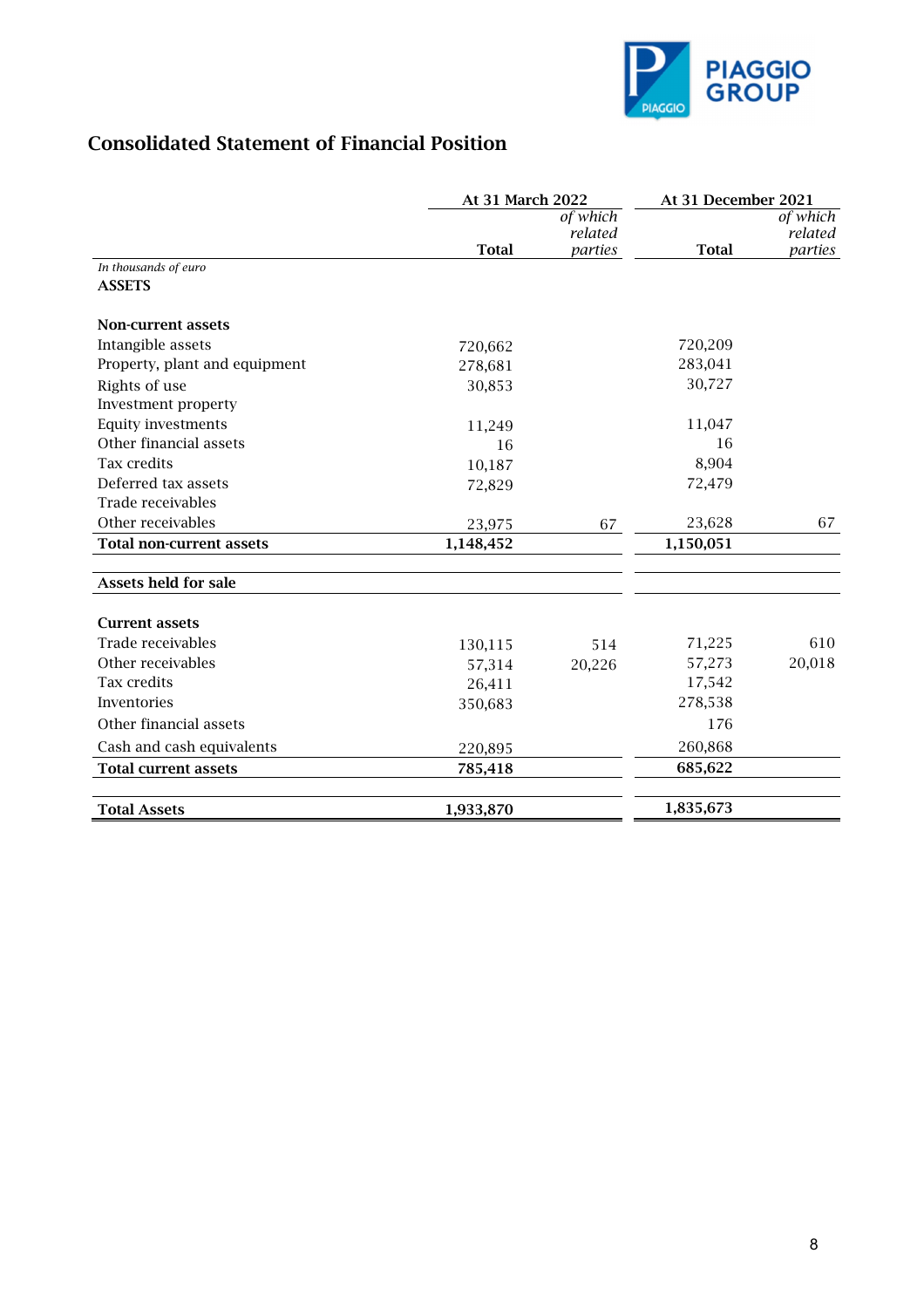

## Consolidated Statement of Financial Position

|                                 | At 31 March 2022 |                    | At 31 December 2021 |                    |
|---------------------------------|------------------|--------------------|---------------------|--------------------|
|                                 |                  | of which           |                     | of which           |
|                                 | <b>Total</b>     | related<br>parties | <b>Total</b>        | related<br>parties |
| In thousands of euro            |                  |                    |                     |                    |
| <b>ASSETS</b>                   |                  |                    |                     |                    |
| Non-current assets              |                  |                    |                     |                    |
| Intangible assets               | 720,662          |                    | 720,209             |                    |
| Property, plant and equipment   | 278,681          |                    | 283,041             |                    |
| Rights of use                   | 30,853           |                    | 30,727              |                    |
| Investment property             |                  |                    |                     |                    |
| Equity investments              | 11,249           |                    | 11,047              |                    |
| Other financial assets          | 16               |                    | 16                  |                    |
| Tax credits                     | 10,187           |                    | 8,904               |                    |
| Deferred tax assets             | 72,829           |                    | 72,479              |                    |
| Trade receivables               |                  |                    |                     |                    |
| Other receivables               | 23,975           | 67                 | 23,628              | 67                 |
| <b>Total non-current assets</b> | 1,148,452        |                    | 1,150,051           |                    |
| <b>Assets held for sale</b>     |                  |                    |                     |                    |
| <b>Current assets</b>           |                  |                    |                     |                    |
| Trade receivables               | 130,115          | 514                | 71,225              | 610                |
| Other receivables               | 57,314           | 20,226             | 57,273              | 20,018             |
| Tax credits                     | 26,411           |                    | 17,542              |                    |
| Inventories                     | 350,683          |                    | 278,538             |                    |
| Other financial assets          |                  |                    | 176                 |                    |
| Cash and cash equivalents       | 220,895          |                    | 260,868             |                    |
| <b>Total current assets</b>     | 785,418          |                    | 685,622             |                    |
| <b>Total Assets</b>             | 1,933,870        |                    | 1,835,673           |                    |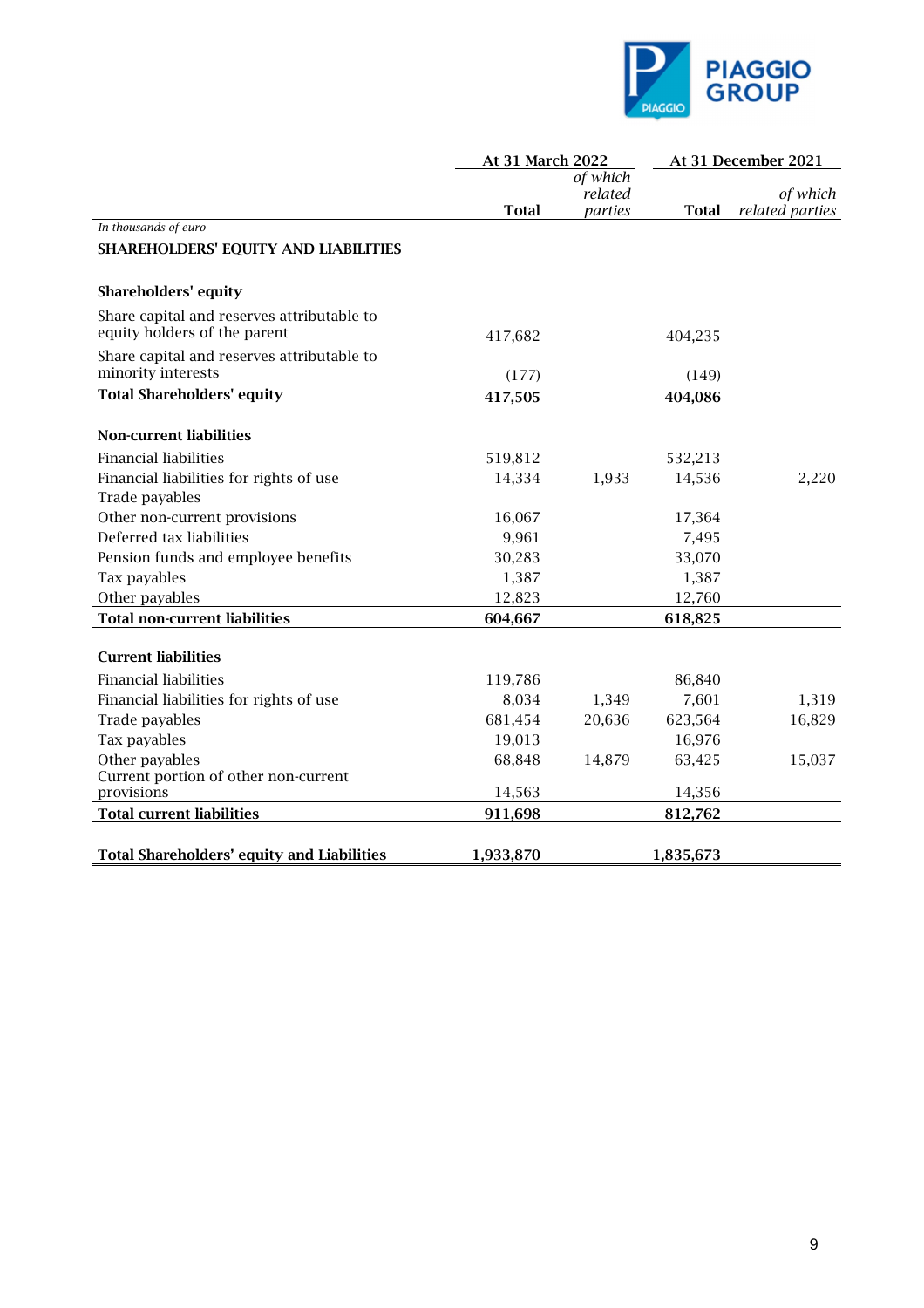

|                                                                            | At 31 March 2022 |          | At 31 December 2021 |                 |
|----------------------------------------------------------------------------|------------------|----------|---------------------|-----------------|
|                                                                            |                  | of which |                     |                 |
|                                                                            |                  | related  |                     | of which        |
|                                                                            | <b>Total</b>     | parties  | <b>Total</b>        | related parties |
| In thousands of euro                                                       |                  |          |                     |                 |
| SHAREHOLDERS' EQUITY AND LIABILITIES                                       |                  |          |                     |                 |
| <b>Shareholders' equity</b>                                                |                  |          |                     |                 |
| Share capital and reserves attributable to<br>equity holders of the parent | 417,682          |          | 404,235             |                 |
| Share capital and reserves attributable to<br>minority interests           | (177)            |          | (149)               |                 |
| <b>Total Shareholders' equity</b>                                          | 417,505          |          | 404,086             |                 |
| <b>Non-current liabilities</b>                                             |                  |          |                     |                 |
| <b>Financial liabilities</b>                                               | 519,812          |          | 532,213             |                 |
| Financial liabilities for rights of use                                    | 14,334           | 1,933    | 14,536              | 2,220           |
| Trade payables                                                             |                  |          |                     |                 |
| Other non-current provisions                                               | 16,067           |          | 17,364              |                 |
| Deferred tax liabilities                                                   | 9,961            |          | 7,495               |                 |
| Pension funds and employee benefits                                        | 30,283           |          | 33,070              |                 |
| Tax payables                                                               | 1,387            |          | 1,387               |                 |
| Other payables                                                             | 12,823           |          | 12,760              |                 |
| <b>Total non-current liabilities</b>                                       | 604,667          |          | 618,825             |                 |
| <b>Current liabilities</b>                                                 |                  |          |                     |                 |
| <b>Financial liabilities</b>                                               | 119,786          |          | 86,840              |                 |
| Financial liabilities for rights of use                                    | 8,034            | 1,349    | 7,601               | 1,319           |
| Trade payables                                                             | 681,454          | 20,636   | 623,564             | 16,829          |
| Tax payables                                                               | 19,013           |          | 16,976              |                 |
| Other payables                                                             | 68,848           | 14,879   | 63,425              | 15,037          |
| Current portion of other non-current                                       |                  |          |                     |                 |
| provisions                                                                 | 14,563           |          | 14,356              |                 |
| <b>Total current liabilities</b>                                           | 911,698          |          | 812,762             |                 |
| <b>Total Shareholders' equity and Liabilities</b>                          | 1,933,870        |          | 1,835,673           |                 |